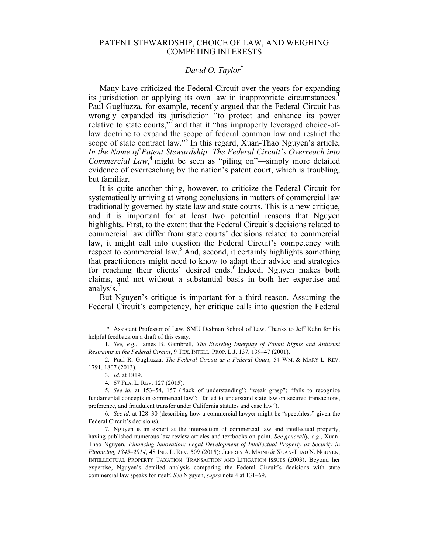## PATENT STEWARDSHIP, CHOICE OF LAW, AND WEIGHING COMPETING INTERESTS

## *David O. Taylor\**

Many have criticized the Federal Circuit over the years for expanding its jurisdiction or applying its own law in inappropriate circumstances.<sup>1</sup> Paul Gugliuzza, for example, recently argued that the Federal Circuit has wrongly expanded its jurisdiction "to protect and enhance its power relative to state courts,"<sup>2</sup> and that it "has improperly leveraged choice-oflaw doctrine to expand the scope of federal common law and restrict the scope of state contract law."<sup>3</sup> In this regard, Xuan-Thao Nguyen's article, *In the Name of Patent Stewardship: The Federal Circuit's Overreach into Commercial*  $\angle Law,^4$  might be seen as "piling on"—simply more detailed evidence of overreaching by the nation's patent court, which is troubling, but familiar.

It is quite another thing, however, to criticize the Federal Circuit for systematically arriving at wrong conclusions in matters of commercial law traditionally governed by state law and state courts. This is a new critique, and it is important for at least two potential reasons that Nguyen highlights. First, to the extent that the Federal Circuit's decisions related to commercial law differ from state courts' decisions related to commercial law, it might call into question the Federal Circuit's competency with respect to commercial law.<sup>5</sup> And, second, it certainly highlights something that practitioners might need to know to adapt their advice and strategies for reaching their clients' desired ends.<sup>6</sup> Indeed, Nguyen makes both claims, and not without a substantial basis in both her expertise and analysis.<sup>7</sup>

But Nguyen's critique is important for a third reason. Assuming the Federal Circuit's competency, her critique calls into question the Federal

 <sup>\*</sup> Assistant Professor of Law, SMU Dedman School of Law. Thanks to Jeff Kahn for his helpful feedback on a draft of this essay.

<sup>1.</sup> *See, e.g.*, James B. Gambrell, *The Evolving Interplay of Patent Rights and Antitrust Restraints in the Federal Circuit*, 9 TEX. INTELL. PROP. L.J. 137, 139–47 (2001).

<sup>2.</sup> Paul R. Gugliuzza, *The Federal Circuit as a Federal Court*, 54 WM. & MARY L. REV. 1791, 1807 (2013).

<sup>3.</sup> *Id.* at 1819.

<sup>4.</sup> 67 FLA. L. REV. 127 (2015).

<sup>5.</sup> *See id.* at 153–54, 157 ("lack of understanding"; "weak grasp"; "fails to recognize fundamental concepts in commercial law"; "failed to understand state law on secured transactions, preference, and fraudulent transfer under California statutes and case law").

<sup>6.</sup> *See id.* at 128–30 (describing how a commercial lawyer might be "speechless" given the Federal Circuit's decisions).

<sup>7.</sup> Nguyen is an expert at the intersection of commercial law and intellectual property, having published numerous law review articles and textbooks on point. *See generally, e.g.*, Xuan-Thao Nguyen, *Financing Innovation: Legal Development of Intellectual Property as Security in Financing, 1845*–*2014*, 48 IND. L. REV. 509 (2015); JEFFREY A. MAINE & XUAN-THAO N. NGUYEN, INTELLECTUAL PROPERTY TAXATION: TRANSACTION AND LITIGATION ISSUES (2003). Beyond her expertise, Nguyen's detailed analysis comparing the Federal Circuit's decisions with state commercial law speaks for itself. *See* Nguyen, *supra* note 4 at 131–69.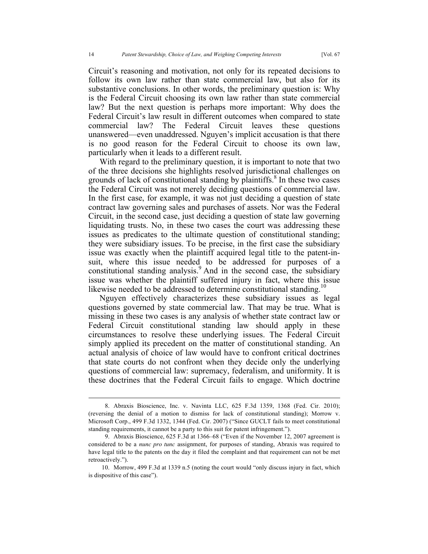Circuit's reasoning and motivation, not only for its repeated decisions to follow its own law rather than state commercial law, but also for its substantive conclusions. In other words, the preliminary question is: Why is the Federal Circuit choosing its own law rather than state commercial law? But the next question is perhaps more important: Why does the Federal Circuit's law result in different outcomes when compared to state commercial law? The Federal Circuit leaves these questions unanswered—even unaddressed. Nguyen's implicit accusation is that there is no good reason for the Federal Circuit to choose its own law, particularly when it leads to a different result.

With regard to the preliminary question, it is important to note that two of the three decisions she highlights resolved jurisdictional challenges on grounds of lack of constitutional standing by plaintiffs. <sup>8</sup> In these two cases the Federal Circuit was not merely deciding questions of commercial law. In the first case, for example, it was not just deciding a question of state contract law governing sales and purchases of assets. Nor was the Federal Circuit, in the second case, just deciding a question of state law governing liquidating trusts. No, in these two cases the court was addressing these issues as predicates to the ultimate question of constitutional standing; they were subsidiary issues. To be precise, in the first case the subsidiary issue was exactly when the plaintiff acquired legal title to the patent-insuit, where this issue needed to be addressed for purposes of a constitutional standing analysis. <sup>9</sup> And in the second case, the subsidiary issue was whether the plaintiff suffered injury in fact, where this issue likewise needed to be addressed to determine constitutional standing.<sup>10</sup>

Nguyen effectively characterizes these subsidiary issues as legal questions governed by state commercial law. That may be true. What is missing in these two cases is any analysis of whether state contract law or Federal Circuit constitutional standing law should apply in these circumstances to resolve these underlying issues. The Federal Circuit simply applied its precedent on the matter of constitutional standing. An actual analysis of choice of law would have to confront critical doctrines that state courts do not confront when they decide only the underlying questions of commercial law: supremacy, federalism, and uniformity. It is these doctrines that the Federal Circuit fails to engage. Which doctrine

 <sup>8.</sup> Abraxis Bioscience, Inc. v. Navinta LLC, 625 F.3d 1359, 1368 (Fed. Cir. 2010); (reversing the denial of a motion to dismiss for lack of constitutional standing); Morrow v. Microsoft Corp., 499 F.3d 1332, 1344 (Fed. Cir. 2007) ("Since GUCLT fails to meet constitutional standing requirements, it cannot be a party to this suit for patent infringement.").

<sup>9.</sup> Abraxis Bioscience, 625 F.3d at 1366–68 ("Even if the November 12, 2007 agreement is considered to be a *nunc pro tunc* assignment, for purposes of standing, Abraxis was required to have legal title to the patents on the day it filed the complaint and that requirement can not be met retroactively.").

<sup>10.</sup> Morrow, 499 F.3d at 1339 n.5 (noting the court would "only discuss injury in fact, which is dispositive of this case").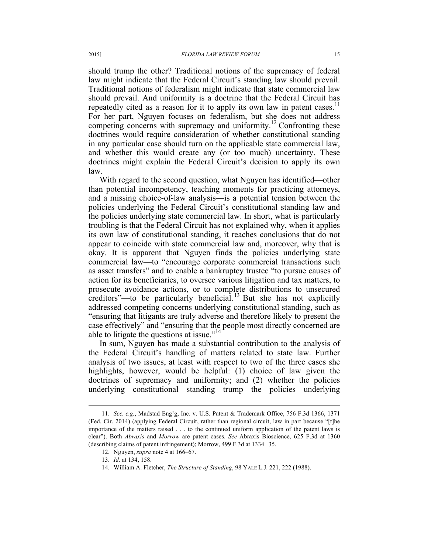should trump the other? Traditional notions of the supremacy of federal law might indicate that the Federal Circuit's standing law should prevail. Traditional notions of federalism might indicate that state commercial law should prevail. And uniformity is a doctrine that the Federal Circuit has repeatedly cited as a reason for it to apply its own law in patent cases.<sup>11</sup> For her part, Nguyen focuses on federalism, but she does not address competing concerns with supremacy and uniformity.<sup>12</sup> Confronting these doctrines would require consideration of whether constitutional standing in any particular case should turn on the applicable state commercial law, and whether this would create any (or too much) uncertainty. These doctrines might explain the Federal Circuit's decision to apply its own law.

With regard to the second question, what Nguyen has identified—other than potential incompetency, teaching moments for practicing attorneys, and a missing choice-of-law analysis—is a potential tension between the policies underlying the Federal Circuit's constitutional standing law and the policies underlying state commercial law. In short, what is particularly troubling is that the Federal Circuit has not explained why, when it applies its own law of constitutional standing, it reaches conclusions that do not appear to coincide with state commercial law and, moreover, why that is okay. It is apparent that Nguyen finds the policies underlying state commercial law—to "encourage corporate commercial transactions such as asset transfers" and to enable a bankruptcy trustee "to pursue causes of action for its beneficiaries, to oversee various litigation and tax matters, to prosecute avoidance actions, or to complete distributions to unsecured creditors"—to be particularly beneficial.<sup>13</sup> But she has not explicitly addressed competing concerns underlying constitutional standing, such as "ensuring that litigants are truly adverse and therefore likely to present the case effectively" and "ensuring that the people most directly concerned are able to litigate the questions at issue."<sup>14</sup>

In sum, Nguyen has made a substantial contribution to the analysis of the Federal Circuit's handling of matters related to state law. Further analysis of two issues, at least with respect to two of the three cases she highlights, however, would be helpful: (1) choice of law given the doctrines of supremacy and uniformity; and (2) whether the policies underlying constitutional standing trump the policies underlying

 <sup>11.</sup> *See, e.g.*, Madstad Eng'g, Inc. v. U.S. Patent & Trademark Office, 756 F.3d 1366, 1371 (Fed. Cir. 2014) (applying Federal Circuit, rather than regional circuit, law in part because "[t]he importance of the matters raised . . . to the continued uniform application of the patent laws is clear"). Both *Abraxis* and *Morrow* are patent cases. *See* Abraxis Bioscience, 625 F.3d at 1360 (describing claims of patent infringement); Morrow, 499 F.3d at 1334–35.

<sup>12.</sup> Nguyen, *supra* note 4 at 166–67.

<sup>13.</sup> *Id.* at 134, 158.

<sup>14.</sup> William A. Fletcher, *The Structure of Standing*, 98 YALE L.J. 221, 222 (1988).